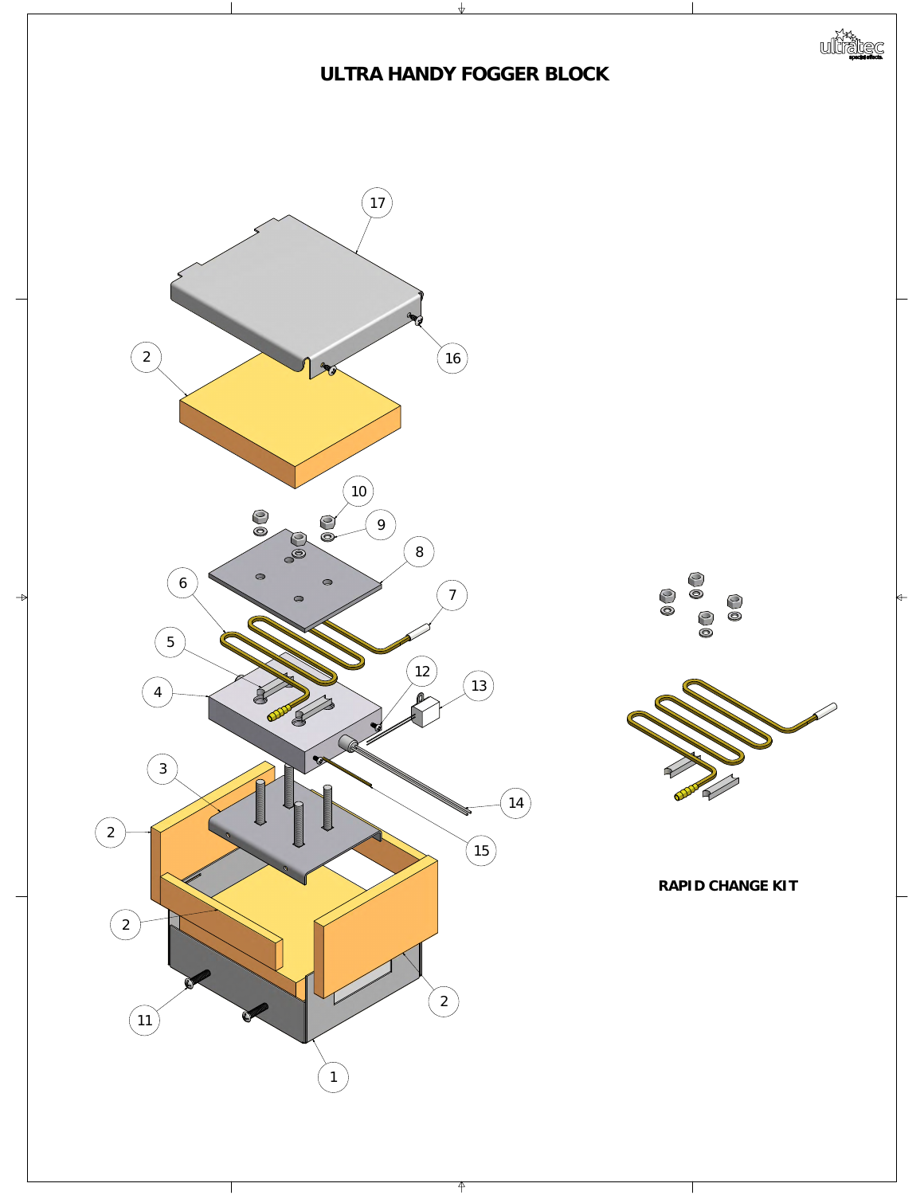

 $\Leftarrow$